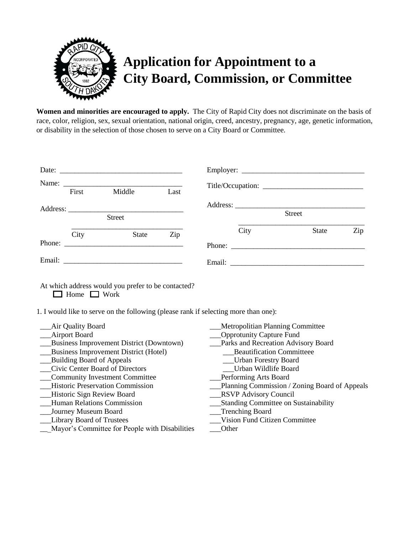

## **Application for Appointment to a City Board, Commission, or Committee**

**Women and minorities are encouraged to apply.** The City of Rapid City does not discriminate on the basis of race, color, religion, sex, sexual orientation, national origin, creed, ancestry, pregnancy, age, genetic information, or disability in the selection of those chosen to serve on a City Board or Committee.

| First | Middle        | Last |      |        |     |
|-------|---------------|------|------|--------|-----|
|       | <b>Street</b> |      |      | Street |     |
| City  | State         | Zip  | City | State  | Zip |
|       |               |      |      |        |     |

At which address would you prefer to be contacted?  $\Box$  Home  $\Box$  Work

1. I would like to serve on the following (please rank if selecting more than one):

\_\_\_Air Quality Board \_\_\_Airport Board \_\_\_Business Improvement District (Downtown) \_\_\_Business Improvement District (Hotel) \_\_\_Building Board of Appeals \_\_\_Civic Center Board of Directors \_\_\_Community Investment Committee \_\_\_Historic Preservation Commission \_\_\_Historic Sign Review Board \_\_\_Human Relations Commission \_\_\_Journey Museum Board \_\_\_Library Board of Trustees \_\_\_Mayor's Committee for People with Disabilities \_\_\_Metropolitian Planning Committee \_\_\_Opprotunity Capture Fund Parks and Recreation Advisory Board \_\_\_Beautification Committeee \_\_\_Urban Forestry Board \_\_\_Urban Wildlife Board \_\_\_Performing Arts Board \_\_\_Planning Commission / Zoning Board of Appeals \_\_\_RSVP Advisory Council \_\_\_Standing Committee on Sustainability \_\_\_Trenching Board \_\_\_Vision Fund Citizen Committee \_\_\_Other